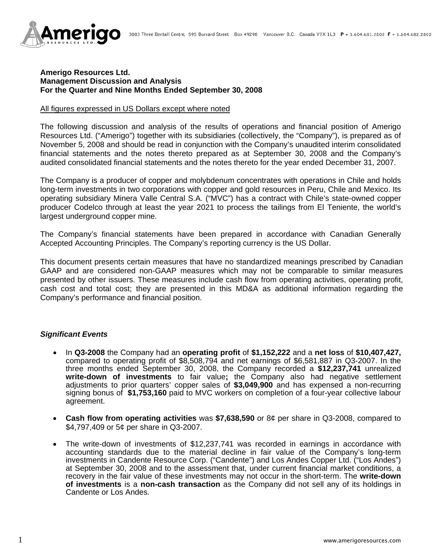

### **Amerigo Resources Ltd. Management Discussion and Analysis For the Quarter and Nine Months Ended September 30, 2008**

### All figures expressed in US Dollars except where noted

The following discussion and analysis of the results of operations and financial position of Amerigo Resources Ltd. ("Amerigo") together with its subsidiaries (collectively, the "Company"), is prepared as of November 5, 2008 and should be read in conjunction with the Company's unaudited interim consolidated financial statements and the notes thereto prepared as at September 30, 2008 and the Company's audited consolidated financial statements and the notes thereto for the year ended December 31, 2007.

The Company is a producer of copper and molybdenum concentrates with operations in Chile and holds long-term investments in two corporations with copper and gold resources in Peru, Chile and Mexico. Its operating subsidiary Minera Valle Central S.A. ("MVC") has a contract with Chile's state-owned copper producer Codelco through at least the year 2021 to process the tailings from El Teniente, the world's largest underground copper mine.

The Company's financial statements have been prepared in accordance with Canadian Generally Accepted Accounting Principles. The Company's reporting currency is the US Dollar.

This document presents certain measures that have no standardized meanings prescribed by Canadian GAAP and are considered non-GAAP measures which may not be comparable to similar measures presented by other issuers. These measures include cash flow from operating activities, operating profit, cash cost and total cost; they are presented in this MD&A as additional information regarding the Company's performance and financial position.

### *Significant Events*

- In **Q3-2008** the Company had an **operating profit** of **\$1,152,222** and a **net loss** of **\$10,407,427,** compared to operating profit of \$8,508,794 and net earnings of \$6,581,887 in Q3-2007. In the three months ended September 30, 2008, the Company recorded a **\$12,237,741** unrealized **write-down of investments** to fair value**;** the Company also had negative settlement adjustments to prior quarters' copper sales of **\$3,049,900** and has expensed a non-recurring signing bonus of **\$1,753,160** paid to MVC workers on completion of a four-year collective labour agreement.
- **Cash flow from operating activities** was **\$7,638,590** or 8¢ per share in Q3-2008, compared to \$4,797,409 or 5¢ per share in Q3-2007.
- The write-down of investments of \$12,237,741 was recorded in earnings in accordance with accounting standards due to the material decline in fair value of the Company's long-term investments in Candente Resource Corp. ("Candente") and Los Andes Copper Ltd. ("Los Andes") at September 30, 2008 and to the assessment that, under current financial market conditions, a recovery in the fair value of these investments may not occur in the short-term. The **write-down of investments** is a **non-cash transaction** as the Company did not sell any of its holdings in Candente or Los Andes.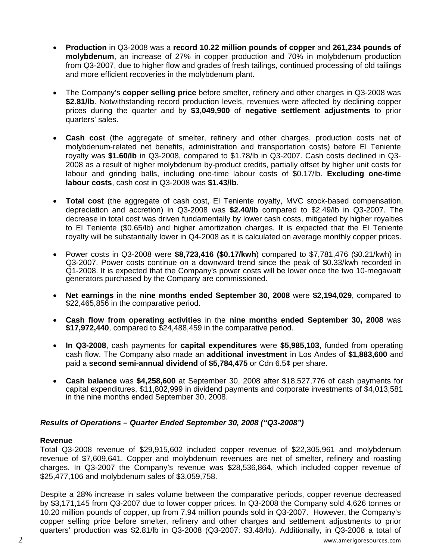- **Production** in Q3-2008 was a **record 10.22 million pounds of copper** and **261,234 pounds of molybdenum**, an increase of 27% in copper production and 70% in molybdenum production from Q3-2007, due to higher flow and grades of fresh tailings, continued processing of old tailings and more efficient recoveries in the molybdenum plant.
- The Company's **copper selling price** before smelter, refinery and other charges in Q3-2008 was \$2.81/lb. Notwithstanding record production levels, revenues were affected by declining copper prices during the quarter and by **\$3,049,900** of **negative settlement adjustments** to prior quarters' sales.
- **Cash cost** (the aggregate of smelter, refinery and other charges, production costs net of molybdenum-related net benefits, administration and transportation costs) before El Teniente royalty was **\$1.60/lb** in Q3-2008, compared to \$1.78/lb in Q3-2007. Cash costs declined in Q3- 2008 as a result of higher molybdenum by-product credits, partially offset by higher unit costs for labour and grinding balls, including one-time labour costs of \$0.17/lb. **Excluding one-time labour costs**, cash cost in Q3-2008 was **\$1.43/lb**.
- **Total cost** (the aggregate of cash cost, El Teniente royalty, MVC stock-based compensation, depreciation and accretion) in Q3-2008 was **\$2.40/lb** compared to \$2.49/lb in Q3-2007. The decrease in total cost was driven fundamentally by lower cash costs, mitigated by higher royalties to El Teniente (\$0.65/lb) and higher amortization charges. It is expected that the El Teniente royalty will be substantially lower in Q4-2008 as it is calculated on average monthly copper prices.
- Power costs in Q3-2008 were **\$8,723,416 (\$0.17/kwh**) compared to \$7,781,476 (\$0.21/kwh) in Q3-2007. Power costs continue on a downward trend since the peak of \$0.33/kwh recorded in Q1-2008. It is expected that the Company's power costs will be lower once the two 10-megawatt generators purchased by the Company are commissioned.
- **Net earnings** in the **nine months ended September 30, 2008** were **\$2,194,029**, compared to \$22,465,856 in the comparative period.
- **Cash flow from operating activities** in the **nine months ended September 30, 2008** was **\$17,972,440**, compared to \$24,488,459 in the comparative period.
- **In Q3-2008**, cash payments for **capital expenditures** were **\$5,985,103**, funded from operating cash flow. The Company also made an **additional investment** in Los Andes of **\$1,883,600** and paid a **second semi-annual dividend** of **\$5,784,475** or Cdn 6.5¢ per share.
- **Cash balance** was **\$4,258,600** at September 30, 2008 after \$18,527,776 of cash payments for capital expenditures, \$11,802,999 in dividend payments and corporate investments of \$4,013,581 in the nine months ended September 30, 2008.

# *Results of Operations – Quarter Ended September 30, 2008 ("Q3-2008")*

# **Revenue**

Total Q3-2008 revenue of \$29,915,602 included copper revenue of \$22,305,961 and molybdenum revenue of \$7,609,641. Copper and molybdenum revenues are net of smelter, refinery and roasting charges. In Q3-2007 the Company's revenue was \$28,536,864, which included copper revenue of \$25,477,106 and molybdenum sales of \$3,059,758.

Despite a 28% increase in sales volume between the comparative periods, copper revenue decreased by \$3,171,145 from Q3-2007 due to lower copper prices. In Q3-2008 the Company sold 4,626 tonnes or 10.20 million pounds of copper, up from 7.94 million pounds sold in Q3-2007. However, the Company's copper selling price before smelter, refinery and other charges and settlement adjustments to prior quarters' production was \$2.81/lb in Q3-2008 (Q3-2007: \$3.48/lb). Additionally, in Q3-2008 a total of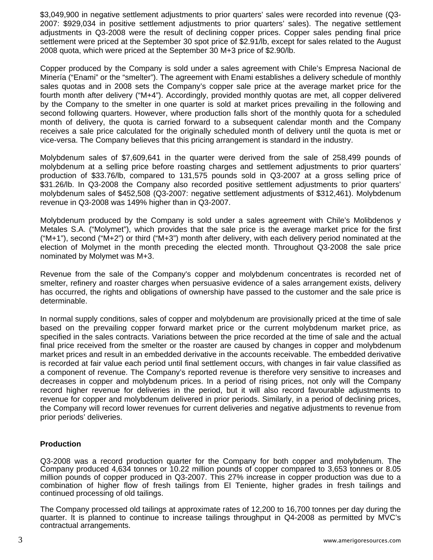\$3,049,900 in negative settlement adjustments to prior quarters' sales were recorded into revenue (Q3- 2007: \$929,034 in positive settlement adjustments to prior quarters' sales). The negative settlement adjustments in Q3-2008 were the result of declining copper prices. Copper sales pending final price settlement were priced at the September 30 spot price of \$2.91/lb, except for sales related to the August 2008 quota, which were priced at the September 30 M+3 price of \$2.90/lb.

Copper produced by the Company is sold under a sales agreement with Chile's Empresa Nacional de Minería ("Enami" or the "smelter"). The agreement with Enami establishes a delivery schedule of monthly sales quotas and in 2008 sets the Company's copper sale price at the average market price for the fourth month after delivery ("M+4"). Accordingly, provided monthly quotas are met, all copper delivered by the Company to the smelter in one quarter is sold at market prices prevailing in the following and second following quarters. However, where production falls short of the monthly quota for a scheduled month of delivery, the quota is carried forward to a subsequent calendar month and the Company receives a sale price calculated for the originally scheduled month of delivery until the quota is met or vice-versa. The Company believes that this pricing arrangement is standard in the industry.

Molybdenum sales of \$7,609,641 in the quarter were derived from the sale of 258,499 pounds of molybdenum at a selling price before roasting charges and settlement adjustments to prior quarters' production of \$33.76/lb, compared to 131,575 pounds sold in Q3-2007 at a gross selling price of \$31.26/lb. In Q3-2008 the Company also recorded positive settlement adjustments to prior quarters' molybdenum sales of \$452,508 (Q3-2007: negative settlement adjustments of \$312,461). Molybdenum revenue in Q3-2008 was 149% higher than in Q3-2007.

Molybdenum produced by the Company is sold under a sales agreement with Chile's Molibdenos y Metales S.A. ("Molymet"), which provides that the sale price is the average market price for the first ("M+1"), second ("M+2") or third ("M+3") month after delivery, with each delivery period nominated at the election of Molymet in the month preceding the elected month. Throughout Q3-2008 the sale price nominated by Molymet was M+3.

Revenue from the sale of the Company's copper and molybdenum concentrates is recorded net of smelter, refinery and roaster charges when persuasive evidence of a sales arrangement exists, delivery has occurred, the rights and obligations of ownership have passed to the customer and the sale price is determinable.

In normal supply conditions, sales of copper and molybdenum are provisionally priced at the time of sale based on the prevailing copper forward market price or the current molybdenum market price, as specified in the sales contracts. Variations between the price recorded at the time of sale and the actual final price received from the smelter or the roaster are caused by changes in copper and molybdenum market prices and result in an embedded derivative in the accounts receivable. The embedded derivative is recorded at fair value each period until final settlement occurs, with changes in fair value classified as a component of revenue. The Company's reported revenue is therefore very sensitive to increases and decreases in copper and molybdenum prices. In a period of rising prices, not only will the Company record higher revenue for deliveries in the period, but it will also record favourable adjustments to revenue for copper and molybdenum delivered in prior periods. Similarly, in a period of declining prices, the Company will record lower revenues for current deliveries and negative adjustments to revenue from prior periods' deliveries.

### **Production**

Q3-2008 was a record production quarter for the Company for both copper and molybdenum. The Company produced 4,634 tonnes or 10.22 million pounds of copper compared to 3,653 tonnes or 8.05 million pounds of copper produced in Q3-2007. This 27% increase in copper production was due to a combination of higher flow of fresh tailings from El Teniente, higher grades in fresh tailings and continued processing of old tailings.

The Company processed old tailings at approximate rates of 12,200 to 16,700 tonnes per day during the quarter. It is planned to continue to increase tailings throughput in Q4-2008 as permitted by MVC's contractual arrangements.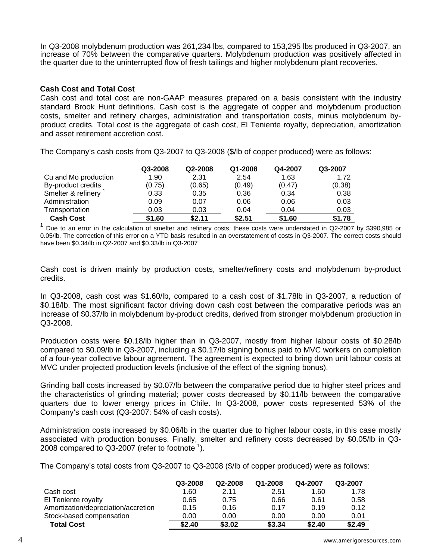In Q3-2008 molybdenum production was 261,234 lbs, compared to 153,295 lbs produced in Q3-2007, an increase of 70% between the comparative quarters. Molybdenum production was positively affected in the quarter due to the uninterrupted flow of fresh tailings and higher molybdenum plant recoveries.

### **Cash Cost and Total Cost**

Cash cost and total cost are non-GAAP measures prepared on a basis consistent with the industry standard Brook Hunt definitions. Cash cost is the aggregate of copper and molybdenum production costs, smelter and refinery charges, administration and transportation costs, minus molybdenum byproduct credits. Total cost is the aggregate of cash cost, El Teniente royalty, depreciation, amortization and asset retirement accretion cost.

The Company's cash costs from Q3-2007 to Q3-2008 (\$/lb of copper produced) were as follows:

|                      | Q3-2008 | Q2-2008 | Q1-2008 | Q4-2007 | Q3-2007 |
|----------------------|---------|---------|---------|---------|---------|
| Cu and Mo production | 1.90    | 2.31    | 2.54    | 1.63    | 1.72    |
| By-product credits   | (0.75)  | (0.65)  | (0.49)  | (0.47)  | (0.38)  |
| Smelter & refinery   | 0.33    | 0.35    | 0.36    | 0.34    | 0.38    |
| Administration       | 0.09    | 0.07    | 0.06    | 0.06    | 0.03    |
| Transportation       | 0.03    | 0.03    | 0.04    | 0.04    | 0.03    |
| <b>Cash Cost</b>     | \$1.60  | \$2.11  | \$2.51  | \$1.60  | \$1.78  |

 $1$  Due to an error in the calculation of smelter and refinery costs, these costs were understated in Q2-2007 by \$390,985 or 0.05/lb. The correction of this error on a YTD basis resulted in an overstatement of costs in Q3-2007. The correct costs should have been \$0.34/lb in Q2-2007 and \$0.33/lb in Q3-2007

Cash cost is driven mainly by production costs, smelter/refinery costs and molybdenum by-product credits.

In Q3-2008, cash cost was \$1.60/lb, compared to a cash cost of \$1.78lb in Q3-2007, a reduction of \$0.18/lb. The most significant factor driving down cash cost between the comparative periods was an increase of \$0.37/lb in molybdenum by-product credits, derived from stronger molybdenum production in Q3-2008.

Production costs were \$0.18/lb higher than in Q3-2007, mostly from higher labour costs of \$0.28/lb compared to \$0.09/lb in Q3-2007, including a \$0.17/lb signing bonus paid to MVC workers on completion of a four-year collective labour agreement. The agreement is expected to bring down unit labour costs at MVC under projected production levels (inclusive of the effect of the signing bonus).

Grinding ball costs increased by \$0.07/lb between the comparative period due to higher steel prices and the characteristics of grinding material; power costs decreased by \$0.11/lb between the comparative quarters due to lower energy prices in Chile. In Q3-2008, power costs represented 53% of the Company's cash cost (Q3-2007: 54% of cash costs).

Administration costs increased by \$0.06/lb in the quarter due to higher labour costs, in this case mostly associated with production bonuses. Finally, smelter and refinery costs decreased by \$0.05/lb in Q3- 2008 compared to Q3-2007 (refer to footnote  $^1$ ).

The Company's total costs from Q3-2007 to Q3-2008 (\$/lb of copper produced) were as follows:

|                                     | Q3-2008 | Q2-2008 | Q1-2008 | Q4-2007 | Q3-2007 |
|-------------------------------------|---------|---------|---------|---------|---------|
| Cash cost                           | 1.60    | 2.11    | 2.51    | 1.60    | 1.78    |
| El Teniente royalty                 | 0.65    | 0.75    | 0.66    | 0.61    | 0.58    |
| Amortization/depreciation/accretion | 0.15    | 0.16    | 0.17    | 0.19    | 0.12    |
| Stock-based compensation            | 0.00    | 0.00    | 0.00    | 0.00    | 0.01    |
| <b>Total Cost</b>                   | \$2.40  | \$3.02  | \$3.34  | \$2.40  | \$2.49  |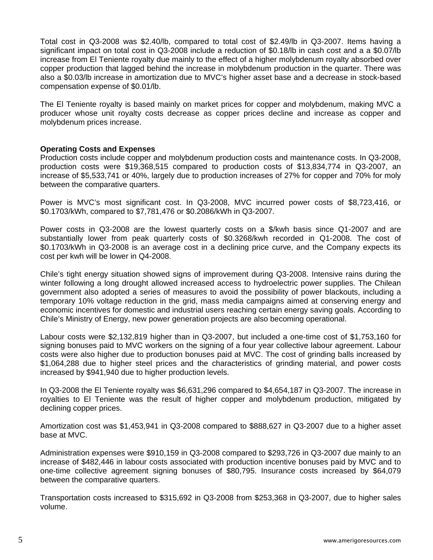Total cost in Q3-2008 was \$2.40/lb, compared to total cost of \$2.49/lb in Q3-2007. Items having a significant impact on total cost in Q3-2008 include a reduction of \$0.18/lb in cash cost and a a \$0.07/lb increase from El Teniente royalty due mainly to the effect of a higher molybdenum royalty absorbed over copper production that lagged behind the increase in molybdenum production in the quarter. There was also a \$0.03/lb increase in amortization due to MVC's higher asset base and a decrease in stock-based compensation expense of \$0.01/lb.

The El Teniente royalty is based mainly on market prices for copper and molybdenum, making MVC a producer whose unit royalty costs decrease as copper prices decline and increase as copper and molybdenum prices increase.

## **Operating Costs and Expenses**

Production costs include copper and molybdenum production costs and maintenance costs. In Q3-2008, production costs were \$19,368,515 compared to production costs of \$13,834,774 in Q3-2007, an increase of \$5,533,741 or 40%, largely due to production increases of 27% for copper and 70% for moly between the comparative quarters.

Power is MVC's most significant cost. In Q3-2008, MVC incurred power costs of \$8,723,416, or \$0.1703/kWh, compared to \$7,781,476 or \$0.2086/kWh in Q3-2007.

Power costs in Q3-2008 are the lowest quarterly costs on a \$/kwh basis since Q1-2007 and are substantially lower from peak quarterly costs of \$0.3268/kwh recorded in Q1-2008. The cost of \$0.1703/kWh in Q3-2008 is an average cost in a declining price curve, and the Company expects its cost per kwh will be lower in Q4-2008.

Chile's tight energy situation showed signs of improvement during Q3-2008. Intensive rains during the winter following a long drought allowed increased access to hydroelectric power supplies. The Chilean government also adopted a series of measures to avoid the possibility of power blackouts, including a temporary 10% voltage reduction in the grid, mass media campaigns aimed at conserving energy and economic incentives for domestic and industrial users reaching certain energy saving goals. According to Chile's Ministry of Energy, new power generation projects are also becoming operational.

Labour costs were \$2,132,819 higher than in Q3-2007, but included a one-time cost of \$1,753,160 for signing bonuses paid to MVC workers on the signing of a four year collective labour agreement. Labour costs were also higher due to production bonuses paid at MVC. The cost of grinding balls increased by \$1,064,288 due to higher steel prices and the characteristics of grinding material, and power costs increased by \$941,940 due to higher production levels.

In Q3-2008 the El Teniente royalty was \$6,631,296 compared to \$4,654,187 in Q3-2007. The increase in royalties to El Teniente was the result of higher copper and molybdenum production, mitigated by declining copper prices.

Amortization cost was \$1,453,941 in Q3-2008 compared to \$888,627 in Q3-2007 due to a higher asset base at MVC.

Administration expenses were \$910,159 in Q3-2008 compared to \$293,726 in Q3-2007 due mainly to an increase of \$482,446 in labour costs associated with production incentive bonuses paid by MVC and to one-time collective agreement signing bonuses of \$80,795. Insurance costs increased by \$64,079 between the comparative quarters.

Transportation costs increased to \$315,692 in Q3-2008 from \$253,368 in Q3-2007, due to higher sales volume.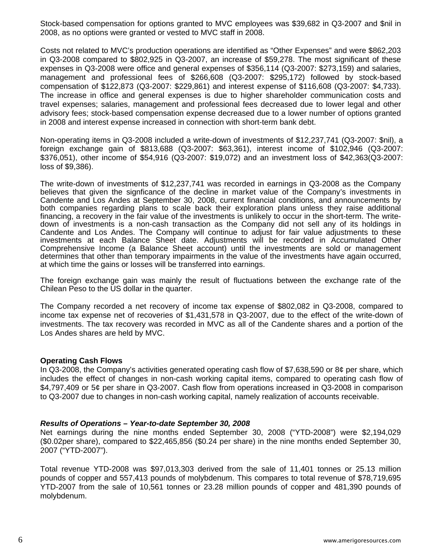Stock-based compensation for options granted to MVC employees was \$39,682 in Q3-2007 and \$nil in 2008, as no options were granted or vested to MVC staff in 2008.

Costs not related to MVC's production operations are identified as "Other Expenses" and were \$862,203 in Q3-2008 compared to \$802,925 in Q3-2007, an increase of \$59,278. The most significant of these expenses in Q3-2008 were office and general expenses of \$356,114 (Q3-2007: \$273,159) and salaries, management and professional fees of \$266,608 (Q3-2007: \$295,172) followed by stock-based compensation of \$122,873 (Q3-2007: \$229,861) and interest expense of \$116,608 (Q3-2007: \$4,733). The increase in office and general expenses is due to higher shareholder communication costs and travel expenses; salaries, management and professional fees decreased due to lower legal and other advisory fees; stock-based compensation expense decreased due to a lower number of options granted in 2008 and interest expense increased in connection with short-term bank debt.

Non-operating items in Q3-2008 included a write-down of investments of \$12,237,741 (Q3-2007: \$nil), a foreign exchange gain of \$813,688 (Q3-2007: \$63,361), interest income of \$102,946 (Q3-2007: \$376,051), other income of \$54,916 (Q3-2007: \$19,072) and an investment loss of \$42,363(Q3-2007: loss of \$9,386).

The write-down of investments of \$12,237,741 was recorded in earnings in Q3-2008 as the Company believes that given the signficance of the decline in market value of the Company's investments in Candente and Los Andes at September 30, 2008, current financial conditions, and announcements by both companies regarding plans to scale back their exploration plans unless they raise additional financing, a recovery in the fair value of the investments is unlikely to occur in the short-term. The writedown of investments is a non-cash transaction as the Company did not sell any of its holdings in Candente and Los Andes. The Company will continue to adjust for fair value adjustments to these investments at each Balance Sheet date. Adjustments will be recorded in Accumulated Other Comprehensive Income (a Balance Sheet account) until the investments are sold or management determines that other than temporary impairments in the value of the investments have again occurred, at which time the gains or losses will be transferred into earnings.

The foreign exchange gain was mainly the result of fluctuations between the exchange rate of the Chilean Peso to the US dollar in the quarter.

The Company recorded a net recovery of income tax expense of \$802,082 in Q3-2008, compared to income tax expense net of recoveries of \$1,431,578 in Q3-2007, due to the effect of the write-down of investments. The tax recovery was recorded in MVC as all of the Candente shares and a portion of the Los Andes shares are held by MVC.

### **Operating Cash Flows**

In Q3-2008, the Company's activities generated operating cash flow of \$7,638,590 or 8¢ per share, which includes the effect of changes in non-cash working capital items, compared to operating cash flow of \$4,797,409 or 5¢ per share in Q3-2007. Cash flow from operations increased in Q3-2008 in comparison to Q3-2007 due to changes in non-cash working capital, namely realization of accounts receivable.

### *Results of Operations – Year-to-date September 30, 2008*

Net earnings during the nine months ended September 30, 2008 ("YTD-2008") were \$2,194,029 (\$0.02per share), compared to \$22,465,856 (\$0.24 per share) in the nine months ended September 30, 2007 ("YTD-2007").

Total revenue YTD-2008 was \$97,013,303 derived from the sale of 11,401 tonnes or 25.13 million pounds of copper and 557,413 pounds of molybdenum. This compares to total revenue of \$78,719,695 YTD-2007 from the sale of 10,561 tonnes or 23.28 million pounds of copper and 481,390 pounds of molybdenum.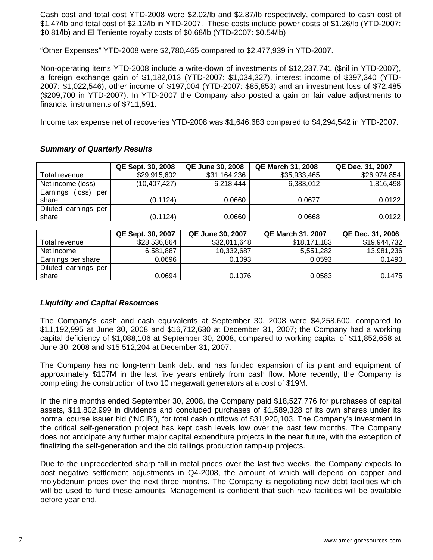Cash cost and total cost YTD-2008 were \$2.02/lb and \$2.87/lb respectively, compared to cash cost of \$1.47/lb and total cost of \$2.12/lb in YTD-2007. These costs include power costs of \$1.26/lb (YTD-2007: \$0.81/lb) and El Teniente royalty costs of \$0.68/lb (YTD-2007: \$0.54/lb)

"Other Expenses" YTD-2008 were \$2,780,465 compared to \$2,477,939 in YTD-2007.

Non-operating items YTD-2008 include a write-down of investments of \$12,237,741 (\$nil in YTD-2007), a foreign exchange gain of \$1,182,013 (YTD-2007: \$1,034,327), interest income of \$397,340 (YTD-2007: \$1,022,546), other income of \$197,004 (YTD-2007: \$85,853) and an investment loss of \$72,485 (\$209,700 in YTD-2007). In YTD-2007 the Company also posted a gain on fair value adjustments to financial instruments of \$711,591.

Income tax expense net of recoveries YTD-2008 was \$1,646,683 compared to \$4,294,542 in YTD-2007.

## *Summary of Quarterly Results*

|                        | <b>QE Sept. 30, 2008</b> | <b>QE June 30, 2008</b> | <b>QE March 31, 2008</b> | QE Dec. 31, 2007 |
|------------------------|--------------------------|-------------------------|--------------------------|------------------|
| Total revenue          | \$29,915,602             | \$31,164,236            | \$35,933,465             | \$26,974,854     |
| Net income (loss)      | (10,407,427)             | 6.218.444               | 6,383,012                | 1,816,498        |
| Earnings<br>(loss) per |                          |                         |                          |                  |
| share                  | (0.1124)                 | 0.0660                  | 0.0677                   | 0.0122           |
| Diluted earnings per   |                          |                         |                          |                  |
| share                  | (0.1124)                 | 0.0660                  | 0.0668                   | 0.0122           |

|                      | QE Sept. 30, 2007 | <b>QE June 30, 2007</b> | <b>QE March 31, 2007</b> | QE Dec. 31, 2006 |
|----------------------|-------------------|-------------------------|--------------------------|------------------|
| Total revenue        | \$28,536,864      | \$32,011,648            | \$18,171,183             | \$19,944,732     |
| Net income           | 6,581,887         | 10.332.687              | 5,551,282                | 13,981,236       |
| Earnings per share   | 0.0696            | 0.1093                  | 0.0593                   | 0.1490           |
| Diluted earnings per |                   |                         |                          |                  |
| share                | 0.0694            | 0.1076                  | 0.0583                   | 0.1475           |

### *Liquidity and Capital Resources*

The Company's cash and cash equivalents at September 30, 2008 were \$4,258,600, compared to \$11,192,995 at June 30, 2008 and \$16,712,630 at December 31, 2007; the Company had a working capital deficiency of \$1,088,106 at September 30, 2008, compared to working capital of \$11,852,658 at June 30, 2008 and \$15,512,204 at December 31, 2007.

The Company has no long-term bank debt and has funded expansion of its plant and equipment of approximately \$107M in the last five years entirely from cash flow. More recently, the Company is completing the construction of two 10 megawatt generators at a cost of \$19M.

In the nine months ended September 30, 2008, the Company paid \$18,527,776 for purchases of capital assets, \$11,802,999 in dividends and concluded purchases of \$1,589,328 of its own shares under its normal course issuer bid ("NCIB"), for total cash outflows of \$31,920,103. The Company's investment in the critical self-generation project has kept cash levels low over the past few months. The Company does not anticipate any further major capital expenditure projects in the near future, with the exception of finalizing the self-generation and the old tailings production ramp-up projects.

Due to the unprecedented sharp fall in metal prices over the last five weeks, the Company expects to post negative settlement adjustments in Q4-2008, the amount of which will depend on copper and molybdenum prices over the next three months. The Company is negotiating new debt facilities which will be used to fund these amounts. Management is confident that such new facilities will be available before year end.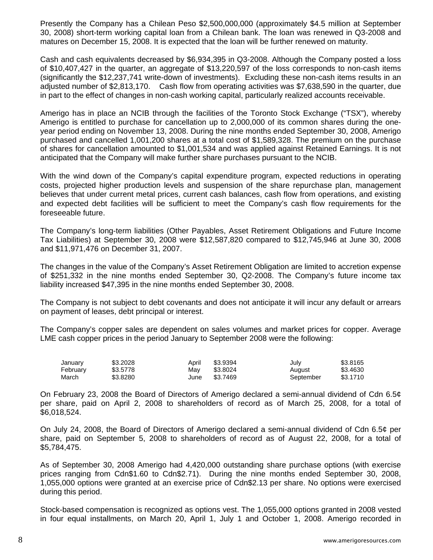Presently the Company has a Chilean Peso \$2,500,000,000 (approximately \$4.5 million at September 30, 2008) short-term working capital loan from a Chilean bank. The loan was renewed in Q3-2008 and matures on December 15, 2008. It is expected that the loan will be further renewed on maturity.

Cash and cash equivalents decreased by \$6,934,395 in Q3-2008. Although the Company posted a loss of \$10,407,427 in the quarter, an aggregate of \$13,220,597 of the loss corresponds to non-cash items (significantly the \$12,237,741 write-down of investments). Excluding these non-cash items results in an adjusted number of \$2,813,170. Cash flow from operating activities was \$7,638,590 in the quarter, due in part to the effect of changes in non-cash working capital, particularly realized accounts receivable.

Amerigo has in place an NCIB through the facilities of the Toronto Stock Exchange ("TSX"), whereby Amerigo is entitled to purchase for cancellation up to 2,000,000 of its common shares during the oneyear period ending on November 13, 2008. During the nine months ended September 30, 2008, Amerigo purchased and cancelled 1,001,200 shares at a total cost of \$1,589,328. The premium on the purchase of shares for cancellation amounted to \$1,001,534 and was applied against Retained Earnings. It is not anticipated that the Company will make further share purchases pursuant to the NCIB.

With the wind down of the Company's capital expenditure program, expected reductions in operating costs, projected higher production levels and suspension of the share repurchase plan, management believes that under current metal prices, current cash balances, cash flow from operations, and existing and expected debt facilities will be sufficient to meet the Company's cash flow requirements for the foreseeable future.

The Company's long-term liabilities (Other Payables, Asset Retirement Obligations and Future Income Tax Liabilities) at September 30, 2008 were \$12,587,820 compared to \$12,745,946 at June 30, 2008 and \$11,971,476 on December 31, 2007.

The changes in the value of the Company's Asset Retirement Obligation are limited to accretion expense of \$251,332 in the nine months ended September 30, Q2-2008. The Company's future income tax liability increased \$47,395 in the nine months ended September 30, 2008.

The Company is not subject to debt covenants and does not anticipate it will incur any default or arrears on payment of leases, debt principal or interest.

The Company's copper sales are dependent on sales volumes and market prices for copper. Average LME cash copper prices in the period January to September 2008 were the following:

| January  | \$3,2028 | April | \$3.9394 | July      | \$3.8165 |
|----------|----------|-------|----------|-----------|----------|
| February | \$3,5778 | Mav   | \$3,8024 | August    | \$3.4630 |
| March    | \$3.8280 | June  | \$3.7469 | September | \$3.1710 |

On February 23, 2008 the Board of Directors of Amerigo declared a semi-annual dividend of Cdn 6.5¢ per share, paid on April 2, 2008 to shareholders of record as of March 25, 2008, for a total of \$6,018,524.

On July 24, 2008, the Board of Directors of Amerigo declared a semi-annual dividend of Cdn 6.5¢ per share, paid on September 5, 2008 to shareholders of record as of August 22, 2008, for a total of \$5,784,475.

As of September 30, 2008 Amerigo had 4,420,000 outstanding share purchase options (with exercise prices ranging from Cdn\$1.60 to Cdn\$2.71). During the nine months ended September 30, 2008, 1,055,000 options were granted at an exercise price of Cdn\$2.13 per share. No options were exercised during this period.

Stock-based compensation is recognized as options vest. The 1,055,000 options granted in 2008 vested in four equal installments, on March 20, April 1, July 1 and October 1, 2008. Amerigo recorded in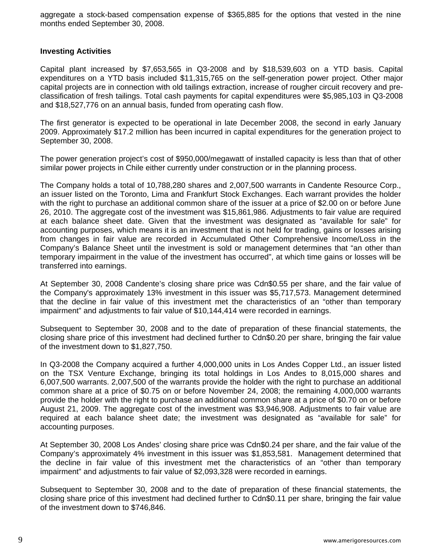aggregate a stock-based compensation expense of \$365,885 for the options that vested in the nine months ended September 30, 2008.

### **Investing Activities**

Capital plant increased by \$7,653,565 in Q3-2008 and by \$18,539,603 on a YTD basis. Capital expenditures on a YTD basis included \$11,315,765 on the self-generation power project. Other major capital projects are in connection with old tailings extraction, increase of rougher circuit recovery and preclassification of fresh tailings. Total cash payments for capital expenditures were \$5,985,103 in Q3-2008 and \$18,527,776 on an annual basis, funded from operating cash flow.

The first generator is expected to be operational in late December 2008, the second in early January 2009. Approximately \$17.2 million has been incurred in capital expenditures for the generation project to September 30, 2008.

The power generation project's cost of \$950,000/megawatt of installed capacity is less than that of other similar power projects in Chile either currently under construction or in the planning process.

The Company holds a total of 10,788,280 shares and 2,007,500 warrants in Candente Resource Corp., an issuer listed on the Toronto, Lima and Frankfurt Stock Exchanges. Each warrant provides the holder with the right to purchase an additional common share of the issuer at a price of \$2.00 on or before June 26, 2010. The aggregate cost of the investment was \$15,861,986. Adjustments to fair value are required at each balance sheet date. Given that the investment was designated as "available for sale" for accounting purposes, which means it is an investment that is not held for trading, gains or losses arising from changes in fair value are recorded in Accumulated Other Comprehensive Income/Loss in the Company's Balance Sheet until the investment is sold or management determines that "an other than temporary impairment in the value of the investment has occurred", at which time gains or losses will be transferred into earnings.

At September 30, 2008 Candente's closing share price was Cdn\$0.55 per share, and the fair value of the Company's approximately 13% investment in this issuer was \$5,717,573. Management determined that the decline in fair value of this investment met the characteristics of an "other than temporary impairment" and adjustments to fair value of \$10,144,414 were recorded in earnings.

Subsequent to September 30, 2008 and to the date of preparation of these financial statements, the closing share price of this investment had declined further to Cdn\$0.20 per share, bringing the fair value of the investment down to \$1,827,750.

In Q3-2008 the Company acquired a further 4,000,000 units in Los Andes Copper Ltd., an issuer listed on the TSX Venture Exchange, bringing its total holdings in Los Andes to 8,015,000 shares and 6,007,500 warrants. 2,007,500 of the warrants provide the holder with the right to purchase an additional common share at a price of \$0.75 on or before November 24, 2008; the remaining 4,000,000 warrants provide the holder with the right to purchase an additional common share at a price of \$0.70 on or before August 21, 2009. The aggregate cost of the investment was \$3,946,908. Adjustments to fair value are required at each balance sheet date; the investment was designated as "available for sale" for accounting purposes.

At September 30, 2008 Los Andes' closing share price was Cdn\$0.24 per share, and the fair value of the Company's approximately 4% investment in this issuer was \$1,853,581. Management determined that the decline in fair value of this investment met the characteristics of an "other than temporary impairment" and adjustments to fair value of \$2,093,328 were recorded in earnings.

Subsequent to September 30, 2008 and to the date of preparation of these financial statements, the closing share price of this investment had declined further to Cdn\$0.11 per share, bringing the fair value of the investment down to \$746,846.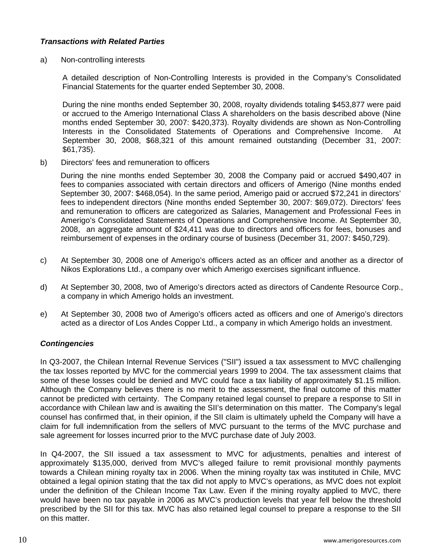# *Transactions with Related Parties*

a) Non-controlling interests

A detailed description of Non-Controlling Interests is provided in the Company's Consolidated Financial Statements for the quarter ended September 30, 2008.

During the nine months ended September 30, 2008, royalty dividends totaling \$453,877 were paid or accrued to the Amerigo International Class A shareholders on the basis described above (Nine months ended September 30, 2007: \$420,373). Royalty dividends are shown as Non-Controlling Interests in the Consolidated Statements of Operations and Comprehensive Income. At September 30, 2008, \$68,321 of this amount remained outstanding (December 31, 2007: \$61,735).

b) Directors' fees and remuneration to officers

During the nine months ended September 30, 2008 the Company paid or accrued \$490,407 in fees to companies associated with certain directors and officers of Amerigo (Nine months ended September 30, 2007: \$468,054). In the same period, Amerigo paid or accrued \$72,241 in directors' fees to independent directors (Nine months ended September 30, 2007: \$69,072). Directors' fees and remuneration to officers are categorized as Salaries, Management and Professional Fees in Amerigo's Consolidated Statements of Operations and Comprehensive Income. At September 30, 2008, an aggregate amount of \$24,411 was due to directors and officers for fees, bonuses and reimbursement of expenses in the ordinary course of business (December 31, 2007: \$450,729).

- c) At September 30, 2008 one of Amerigo's officers acted as an officer and another as a director of Nikos Explorations Ltd., a company over which Amerigo exercises significant influence.
- d) At September 30, 2008, two of Amerigo's directors acted as directors of Candente Resource Corp., a company in which Amerigo holds an investment.
- e) At September 30, 2008 two of Amerigo's officers acted as officers and one of Amerigo's directors acted as a director of Los Andes Copper Ltd., a company in which Amerigo holds an investment.

# *Contingencies*

In Q3-2007, the Chilean Internal Revenue Services ("SII") issued a tax assessment to MVC challenging the tax losses reported by MVC for the commercial years 1999 to 2004. The tax assessment claims that some of these losses could be denied and MVC could face a tax liability of approximately \$1.15 million. Although the Company believes there is no merit to the assessment, the final outcome of this matter cannot be predicted with certainty. The Company retained legal counsel to prepare a response to SII in accordance with Chilean law and is awaiting the SII's determination on this matter. The Company's legal counsel has confirmed that, in their opinion, if the SII claim is ultimately upheld the Company will have a claim for full indemnification from the sellers of MVC pursuant to the terms of the MVC purchase and sale agreement for losses incurred prior to the MVC purchase date of July 2003.

In Q4-2007, the SII issued a tax assessment to MVC for adjustments, penalties and interest of approximately \$135,000, derived from MVC's alleged failure to remit provisional monthly payments towards a Chilean mining royalty tax in 2006. When the mining royalty tax was instituted in Chile, MVC obtained a legal opinion stating that the tax did not apply to MVC's operations, as MVC does not exploit under the definition of the Chilean Income Tax Law. Even if the mining royalty applied to MVC, there would have been no tax payable in 2006 as MVC's production levels that year fell below the threshold prescribed by the SII for this tax. MVC has also retained legal counsel to prepare a response to the SII on this matter.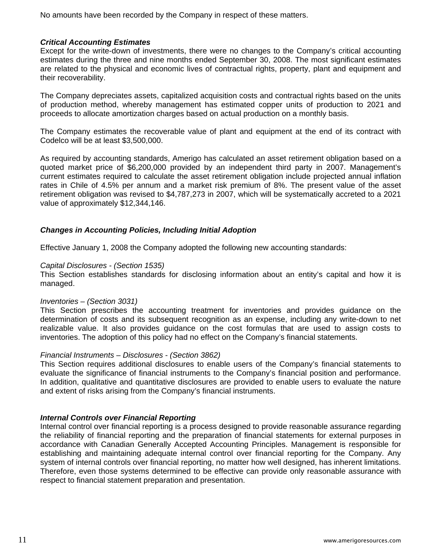No amounts have been recorded by the Company in respect of these matters.

## *Critical Accounting Estimates*

Except for the write-down of investments, there were no changes to the Company's critical accounting estimates during the three and nine months ended September 30, 2008. The most significant estimates are related to the physical and economic lives of contractual rights, property, plant and equipment and their recoverability.

The Company depreciates assets, capitalized acquisition costs and contractual rights based on the units of production method, whereby management has estimated copper units of production to 2021 and proceeds to allocate amortization charges based on actual production on a monthly basis.

The Company estimates the recoverable value of plant and equipment at the end of its contract with Codelco will be at least \$3,500,000.

As required by accounting standards, Amerigo has calculated an asset retirement obligation based on a quoted market price of \$6,200,000 provided by an independent third party in 2007. Management's current estimates required to calculate the asset retirement obligation include projected annual inflation rates in Chile of 4.5% per annum and a market risk premium of 8%. The present value of the asset retirement obligation was revised to \$4,787,273 in 2007, which will be systematically accreted to a 2021 value of approximately \$12,344,146.

## *Changes in Accounting Policies, Including Initial Adoption*

Effective January 1, 2008 the Company adopted the following new accounting standards:

## *Capital Disclosures - (Section 1535)*

This Section establishes standards for disclosing information about an entity's capital and how it is managed.

### *Inventories – (Section 3031)*

This Section prescribes the accounting treatment for inventories and provides guidance on the determination of costs and its subsequent recognition as an expense, including any write-down to net realizable value. It also provides guidance on the cost formulas that are used to assign costs to inventories. The adoption of this policy had no effect on the Company's financial statements.

### *Financial Instruments – Disclosures - (Section 3862)*

This Section requires additional disclosures to enable users of the Company's financial statements to evaluate the significance of financial instruments to the Company's financial position and performance. In addition, qualitative and quantitative disclosures are provided to enable users to evaluate the nature and extent of risks arising from the Company's financial instruments.

### *Internal Controls over Financial Reporting*

Internal control over financial reporting is a process designed to provide reasonable assurance regarding the reliability of financial reporting and the preparation of financial statements for external purposes in accordance with Canadian Generally Accepted Accounting Principles. Management is responsible for establishing and maintaining adequate internal control over financial reporting for the Company. Any system of internal controls over financial reporting, no matter how well designed, has inherent limitations. Therefore, even those systems determined to be effective can provide only reasonable assurance with respect to financial statement preparation and presentation.